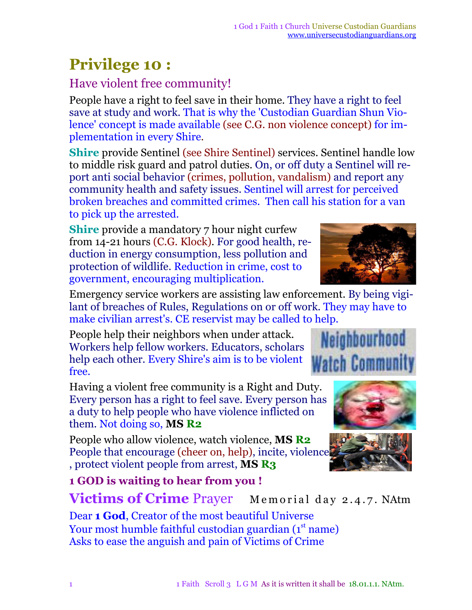## **Privilege 10 :**

## Have violent free community!

People have a right to feel save in their home. They have a right to feel save at study and work. That is why the 'Custodian Guardian Shun Violence' concept is made available (see C.G. non violence concept) for implementation in every Shire*.*

**Shire** provide Sentinel (see Shire Sentinel) services. Sentinel handle low to middle risk guard and patrol duties. On, or off duty a Sentinel will report anti social behavior (crimes, pollution, vandalism) and report any community health and safety issues. Sentinel will arrest for perceived broken breaches and committed crimes. Then call his station for a van to pick up the arrested.

**Shire** provide a mandatory 7 hour night curfew from 14-21 hours (C.G. Klock). For good health, reduction in energy consumption, less pollution and protection of wildlife. Reduction in crime, cost to government, encouraging multiplication.

Emergency service workers are assisting law enforcement. By being vigilant of breaches of Rules, Regulations on or off work. They may have to make civilian arrest's. CE reservist may be called to help.

People help their neighbors when under attack. Workers help fellow workers. Educators, scholars help each other. Every Shire's aim is to be violent free.

Having a violent free community is a Right and Duty. Every person has a right to feel save. Every person has a duty to help people who have violence inflicted on them. Not doing so, **MS R2**

People who allow violence, watch violence, **MS R2** People that encourage (cheer on, help), incite, violence , protect violent people from arrest, **MS R3**

**1 GOD is waiting to hear from you ! Victims of Crime** Prayer Memorial day 2.4.7. NAtm

Dear **1 God**, Creator of the most beautiful Universe Your most humble faithful custodian guardian (1st name) Asks to ease the anguish and pain of Victims of Crime